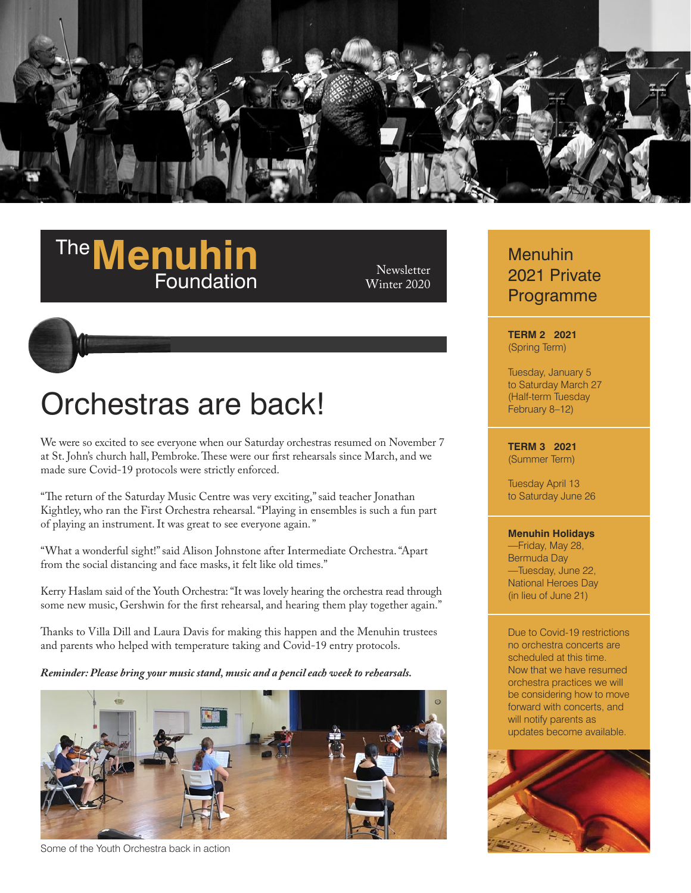

# **The Menuhin** Newsletter<br>**Foundation** Winter 2020

Winter 2020

# Orchestras are back!

We were so excited to see everyone when our Saturday orchestras resumed on November 7 at St. John's church hall, Pembroke. These were our first rehearsals since March, and we made sure Covid-19 protocols were strictly enforced.

"The return of the Saturday Music Centre was very exciting," said teacher Jonathan Kightley, who ran the First Orchestra rehearsal. "Playing in ensembles is such a fun part of playing an instrument. It was great to see everyone again. "

"What a wonderful sight!" said Alison Johnstone after Intermediate Orchestra. "Apart from the social distancing and face masks, it felt like old times."

Kerry Haslam said of the Youth Orchestra: "It was lovely hearing the orchestra read through some new music, Gershwin for the first rehearsal, and hearing them play together again."

Thanks to Villa Dill and Laura Davis for making this happen and the Menuhin trustees and parents who helped with temperature taking and Covid-19 entry protocols.

*Reminder: Please bring your music stand, music and a pencil each week to rehearsals.*



Some of the Youth Orchestra back in action

## Menuhin 2021 Private Programme

#### **TERM 2 2021** (Spring Term)

Tuesday, January 5 to Saturday March 27 (Half-term Tuesday February 8–12)

#### **TERM 3 2021** (Summer Term)

Tuesday April 13 to Saturday June 26

#### **Menuhin Holidays**

—Friday, May 28, Bermuda Day —Tuesday, June 22, National Heroes Day (in lieu of June 21)

Due to Covid-19 restrictions no orchestra concerts are scheduled at this time. Now that we have resumed orchestra practices we will be considering how to move forward with concerts, and will notify parents as updates become available.

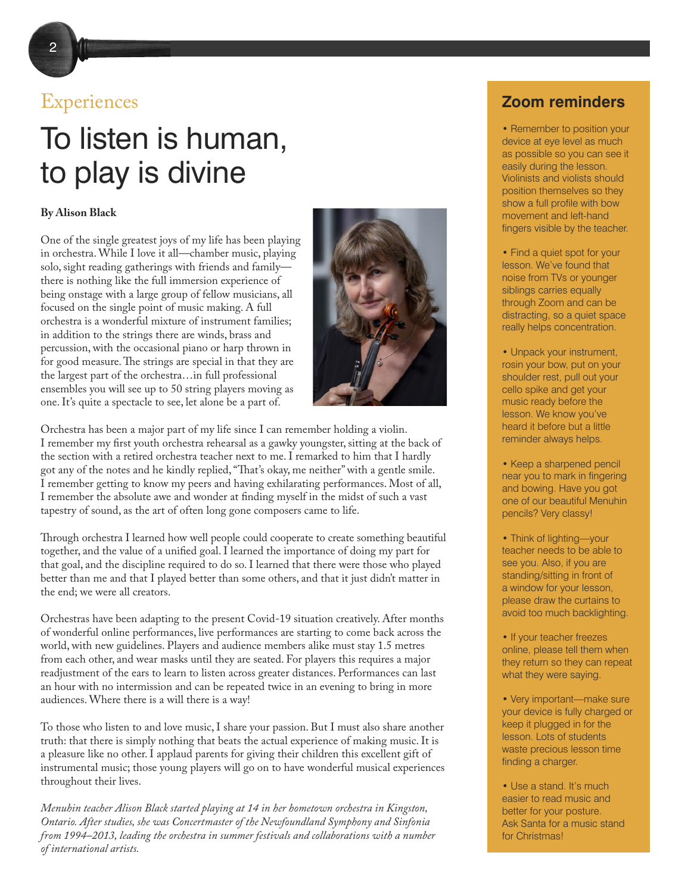# To listen is human, to play is divine

#### **By Alison Black**

One of the single greatest joys of my life has been playing in orchestra. While I love it all—chamber music, playing solo, sight reading gatherings with friends and family there is nothing like the full immersion experience of being onstage with a large group of fellow musicians, all focused on the single point of music making. A full orchestra is a wonderful mixture of instrument families; in addition to the strings there are winds, brass and percussion, with the occasional piano or harp thrown in for good measure. The strings are special in that they are the largest part of the orchestra…in full professional ensembles you will see up to 50 string players moving as one. It's quite a spectacle to see, let alone be a part of.

Orchestra has been a major part of my life since I can remember holding a violin. I remember my first youth orchestra rehearsal as a gawky youngster, sitting at the back of the section with a retired orchestra teacher next to me. I remarked to him that I hardly got any of the notes and he kindly replied, "That's okay, me neither" with a gentle smile. I remember getting to know my peers and having exhilarating performances. Most of all, I remember the absolute awe and wonder at finding myself in the midst of such a vast tapestry of sound, as the art of often long gone composers came to life.

Through orchestra I learned how well people could cooperate to create something beautiful together, and the value of a unified goal. I learned the importance of doing my part for that goal, and the discipline required to do so. I learned that there were those who played better than me and that I played better than some others, and that it just didn't matter in the end; we were all creators.

Orchestras have been adapting to the present Covid-19 situation creatively. After months of wonderful online performances, live performances are starting to come back across the world, with new guidelines. Players and audience members alike must stay 1.5 metres from each other, and wear masks until they are seated. For players this requires a major readjustment of the ears to learn to listen across greater distances. Performances can last an hour with no intermission and can be repeated twice in an evening to bring in more audiences. Where there is a will there is a way!

To those who listen to and love music, I share your passion. But I must also share another truth: that there is simply nothing that beats the actual experience of making music. It is a pleasure like no other. I applaud parents for giving their children this excellent gift of instrumental music; those young players will go on to have wonderful musical experiences throughout their lives.

*Menuhin teacher Alison Black started playing at 14 in her hometown orchestra in Kingston, Ontario. After studies, she was Concertmaster of the Newfoundland Symphony and Sinfonia from 1994–2013, leading the orchestra in summer festivals and collaborations with a number of international artists.* 

## Experiences **Zoom reminders**

• Remember to position your device at eye level as much as possible so you can see it easily during the lesson. Violinists and violists should position themselves so they show a full profile with bow movement and left-hand fingers visible by the teacher.

• Find a quiet spot for your lesson. We've found that noise from TVs or younger siblings carries equally through Zoom and can be distracting, so a quiet space really helps concentration.

• Unpack your instrument, rosin your bow, put on your shoulder rest, pull out your cello spike and get your music ready before the lesson. We know you've heard it before but a little reminder always helps.

• Keep a sharpened pencil near you to mark in fingering and bowing. Have you got one of our beautiful Menuhin pencils? Very classy!

• Think of lighting—your teacher needs to be able to see you. Also, if you are standing/sitting in front of a window for your lesson, please draw the curtains to avoid too much backlighting.

• If your teacher freezes online, please tell them when they return so they can repeat what they were saying.

• Very important—make sure your device is fully charged or keep it plugged in for the lesson. Lots of students waste precious lesson time finding a charger.

• Use a stand. It's much easier to read music and better for your posture. Ask Santa for a music stand for Christmas!

2

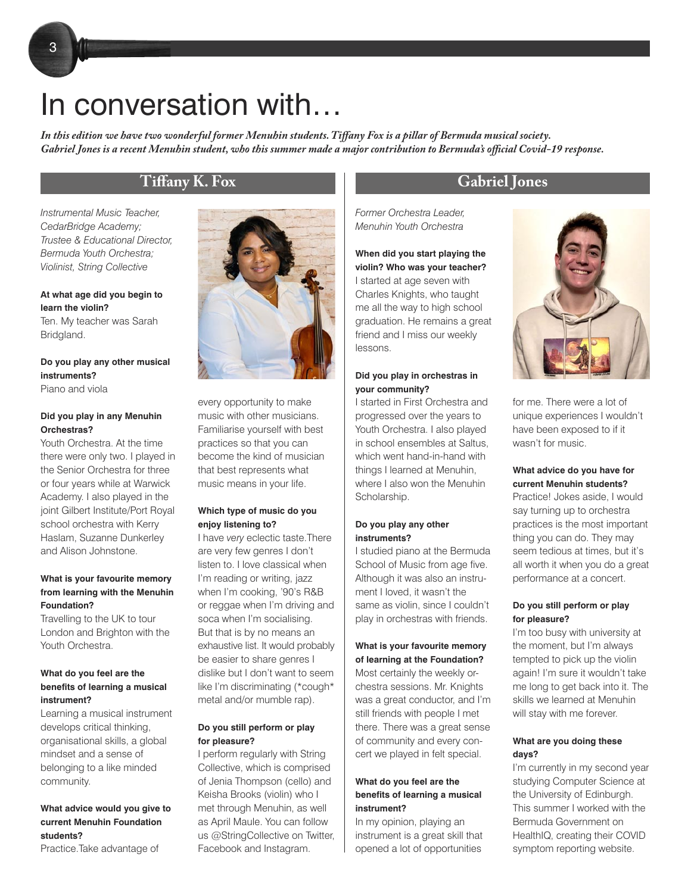# In conversation with…

*In this edition we have two wonderful former Menuhin students. Tiffany Fox is a pillar of Bermuda musical society. Gabriel Jones is a recent Menuhin student, who this summer made a major contribution to Bermuda's official Covid-19 response.*

*Instrumental Music Teacher, CedarBridge Academy; Trustee & Educational Director, Bermuda Youth Orchestra; Violinist, String Collective*

#### **At what age did you begin to learn the violin?**

Ten. My teacher was Sarah Bridgland.

#### **Do you play any other musical instruments?** Piano and viola

#### **Did you play in any Menuhin Orchestras?**

Youth Orchestra. At the time there were only two. I played in the Senior Orchestra for three or four years while at Warwick Academy. I also played in the joint Gilbert Institute/Port Royal school orchestra with Kerry Haslam, Suzanne Dunkerley and Alison Johnstone.

#### **What is your favourite memory from learning with the Menuhin Foundation?**

Travelling to the UK to tour London and Brighton with the Youth Orchestra.

#### **What do you feel are the benefits of learning a musical instrument?**

Learning a musical instrument develops critical thinking, organisational skills, a global mindset and a sense of belonging to a like minded community.

**What advice would you give to current Menuhin Foundation students?**

Practice.Take advantage of



every opportunity to make music with other musicians. Familiarise yourself with best practices so that you can become the kind of musician that best represents what music means in your life.

#### **Which type of music do you enjoy listening to?**

I have *very* eclectic taste.There are very few genres I don't listen to. I love classical when I'm reading or writing, jazz when I'm cooking, '90's R&B or reggae when I'm driving and soca when I'm socialising. But that is by no means an exhaustive list. It would probably be easier to share genres I dislike but I don't want to seem like I'm discriminating (\*cough\* metal and/or mumble rap).

#### **Do you still perform or play for pleasure?**

I perform regularly with String Collective, which is comprised of Jenia Thompson (cello) and Keisha Brooks (violin) who I met through Menuhin, as well as April Maule. You can follow us @StringCollective on Twitter, Facebook and Instagram.

### **Tiffany K. Fox Gabriel Jones**

*Former Orchestra Leader, Menuhin Youth Orchestra*

**When did you start playing the violin? Who was your teacher?** I started at age seven with Charles Knights, who taught me all the way to high school graduation. He remains a great friend and I miss our weekly lessons.

#### **Did you play in orchestras in your community?**

I started in First Orchestra and progressed over the years to Youth Orchestra. I also played in school ensembles at Saltus, which went hand-in-hand with things I learned at Menuhin, where I also won the Menuhin Scholarship.

#### **Do you play any other instruments?**

I studied piano at the Bermuda School of Music from age five. Although it was also an instrument I loved, it wasn't the same as violin, since I couldn't play in orchestras with friends.

#### **What is your favourite memory of learning at the Foundation?**

Most certainly the weekly orchestra sessions. Mr. Knights was a great conductor, and I'm still friends with people I met there. There was a great sense of community and every concert we played in felt special.

#### **What do you feel are the benefits of learning a musical instrument?**

In my opinion, playing an instrument is a great skill that opened a lot of opportunities



for me. There were a lot of unique experiences I wouldn't have been exposed to if it wasn't for music.

#### **What advice do you have for current Menuhin students?**

Practice! Jokes aside, I would say turning up to orchestra practices is the most important thing you can do. They may seem tedious at times, but it's all worth it when you do a great performance at a concert.

#### **Do you still perform or play for pleasure?**

I'm too busy with university at the moment, but I'm always tempted to pick up the violin again! I'm sure it wouldn't take me long to get back into it. The skills we learned at Menuhin will stay with me forever.

#### **What are you doing these days?**

I'm currently in my second year studying Computer Science at the University of Edinburgh. This summer I worked with the Bermuda Government on HealthIQ, creating their COVID symptom reporting website.